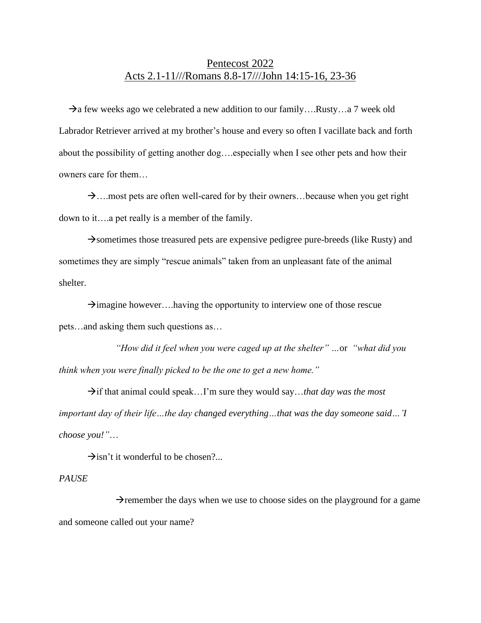# Pentecost 2022 Acts 2.1-11///Romans 8.8-17///John 14:15-16, 23-36

 $\rightarrow$ a few weeks ago we celebrated a new addition to our family….Rusty…a 7 week old Labrador Retriever arrived at my brother's house and every so often I vacillate back and forth about the possibility of getting another dog….especially when I see other pets and how their owners care for them…

→….most pets are often well-cared for by their owners…because when you get right down to it….a pet really is a member of the family.

 $\rightarrow$ sometimes those treasured pets are expensive pedigree pure-breeds (like Rusty) and sometimes they are simply "rescue animals" taken from an unpleasant fate of the animal shelter.

 $\rightarrow$ imagine however....having the opportunity to interview one of those rescue pets…and asking them such questions as…

*"How did it feel when you were caged up at the shelter" …*or *"what did you think when you were finally picked to be the one to get a new home."*

→if that animal could speak…I'm sure they would say…*that day was the most important day of their life…the day changed everything…that was the day someone said…'I choose you!"*…

 $\rightarrow$ isn't it wonderful to be chosen?...

#### *PAUSE*

 $\rightarrow$ remember the days when we use to choose sides on the playground for a game and someone called out your name?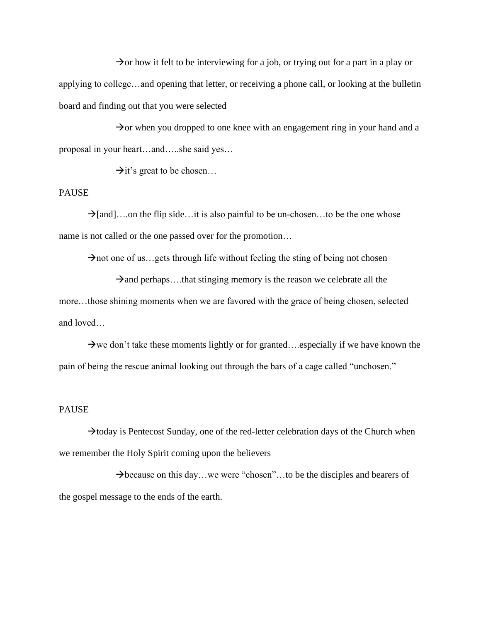$\rightarrow$  or how it felt to be interviewing for a job, or trying out for a part in a play or applying to college…and opening that letter, or receiving a phone call, or looking at the bulletin board and finding out that you were selected

 $\rightarrow$  or when you dropped to one knee with an engagement ring in your hand and a proposal in your heart…and…..she said yes…

 $\rightarrow$ it's great to be chosen...

#### PAUSE

 $\rightarrow$ [and]….on the flip side…it is also painful to be un-chosen…to be the one whose name is not called or the one passed over for the promotion…

 $\rightarrow$ not one of us...gets through life without feeling the sting of being not chosen

 $\rightarrow$ and perhaps....that stinging memory is the reason we celebrate all the more…those shining moments when we are favored with the grace of being chosen, selected and loved…

 $\rightarrow$  we don't take these moments lightly or for granted....especially if we have known the pain of being the rescue animal looking out through the bars of a cage called "unchosen."

#### PAUSE

 $\rightarrow$ today is Pentecost Sunday, one of the red-letter celebration days of the Church when we remember the Holy Spirit coming upon the believers

 $\rightarrow$  because on this day...we were "chosen"...to be the disciples and bearers of the gospel message to the ends of the earth.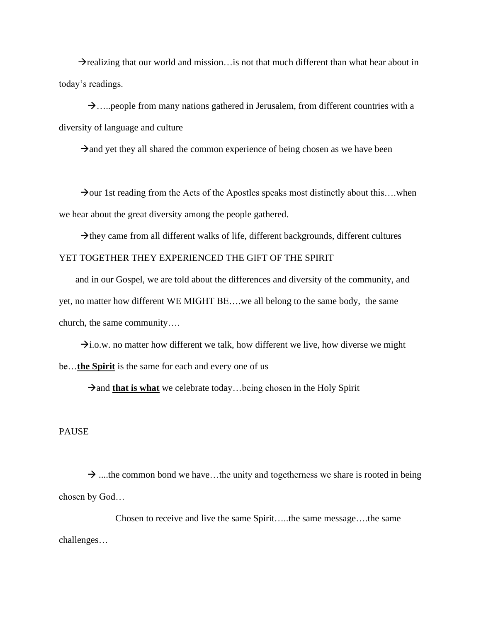$\rightarrow$ realizing that our world and mission... is not that much different than what hear about in today's readings.

 $\rightarrow$ …..people from many nations gathered in Jerusalem, from different countries with a diversity of language and culture

 $\rightarrow$ and yet they all shared the common experience of being chosen as we have been

 $\rightarrow$ our 1st reading from the Acts of the Apostles speaks most distinctly about this... when we hear about the great diversity among the people gathered.

 $\rightarrow$ they came from all different walks of life, different backgrounds, different cultures YET TOGETHER THEY EXPERIENCED THE GIFT OF THE SPIRIT

 and in our Gospel, we are told about the differences and diversity of the community, and yet, no matter how different WE MIGHT BE….we all belong to the same body, the same church, the same community….

 $\rightarrow$ i.o.w. no matter how different we talk, how different we live, how diverse we might be…**the Spirit** is the same for each and every one of us

→and **that is what** we celebrate today...being chosen in the Holy Spirit

PAUSE

 $\rightarrow$  ....the common bond we have...the unity and togetherness we share is rooted in being chosen by God…

Chosen to receive and live the same Spirit…..the same message….the same challenges…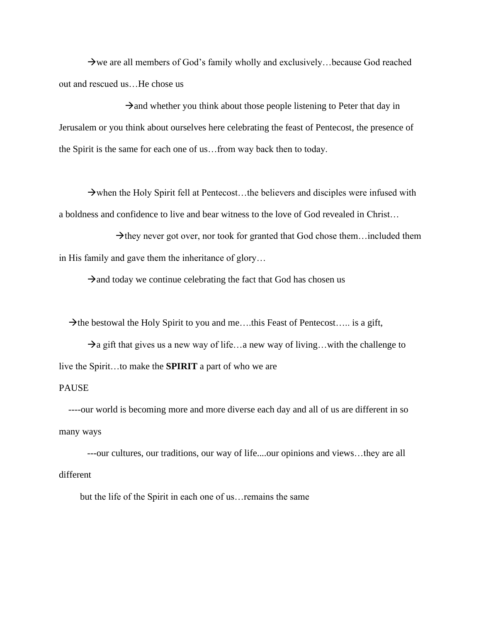$\rightarrow$  we are all members of God's family wholly and exclusively... because God reached out and rescued us…He chose us

 $\rightarrow$ and whether you think about those people listening to Peter that day in Jerusalem or you think about ourselves here celebrating the feast of Pentecost, the presence of the Spirit is the same for each one of us…from way back then to today.

 $\rightarrow$  when the Holy Spirit fell at Pentecost...the believers and disciples were infused with a boldness and confidence to live and bear witness to the love of God revealed in Christ…

 $\rightarrow$ they never got over, nor took for granted that God chose them... included them in His family and gave them the inheritance of glory…

 $\rightarrow$ and today we continue celebrating the fact that God has chosen us

 $\rightarrow$  the bestowal the Holy Spirit to you and me....this Feast of Pentecost..... is a gift,

 $\rightarrow$ a gift that gives us a new way of life...a new way of living...with the challenge to live the Spirit…to make the **SPIRIT** a part of who we are

### PAUSE

 ----our world is becoming more and more diverse each day and all of us are different in so many ways

 ---our cultures, our traditions, our way of life....our opinions and views…they are all different

but the life of the Spirit in each one of us…remains the same